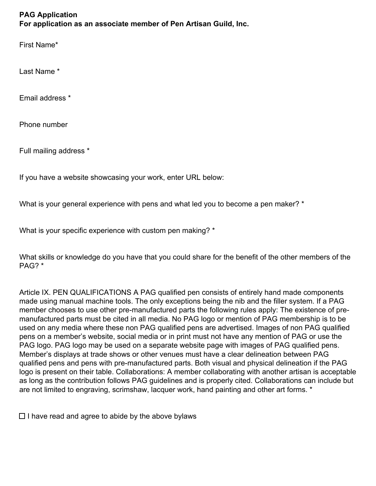## **PAG Application For application as an associate member of Pen Artisan Guild, Inc.**

First Name\*

Last Name \*

Email address \*

Phone number

Full mailing address \*

If you have a website showcasing your work, enter URL below:

What is your general experience with pens and what led you to become a pen maker? \*

What is your specific experience with custom pen making? \*

What skills or knowledge do you have that you could share for the benefit of the other members of the PAG? \*

Article IX. PEN QUALIFICATIONS A PAG qualified pen consists of entirely hand made components made using manual machine tools. The only exceptions being the nib and the filler system. If a PAG member chooses to use other pre-manufactured parts the following rules apply: The existence of premanufactured parts must be cited in all media. No PAG logo or mention of PAG membership is to be used on any media where these non PAG qualified pens are advertised. Images of non PAG qualified pens on a member's website, social media or in print must not have any mention of PAG or use the PAG logo. PAG logo may be used on a separate website page with images of PAG qualified pens. Member's displays at trade shows or other venues must have a clear delineation between PAG qualified pens and pens with pre-manufactured parts. Both visual and physical delineation if the PAG logo is present on their table. Collaborations: A member collaborating with another artisan is acceptable as long as the contribution follows PAG guidelines and is properly cited. Collaborations can include but are not limited to engraving, scrimshaw, lacquer work, hand painting and other art forms. \*

 $\Box$  I have read and agree to abide by the above by laws